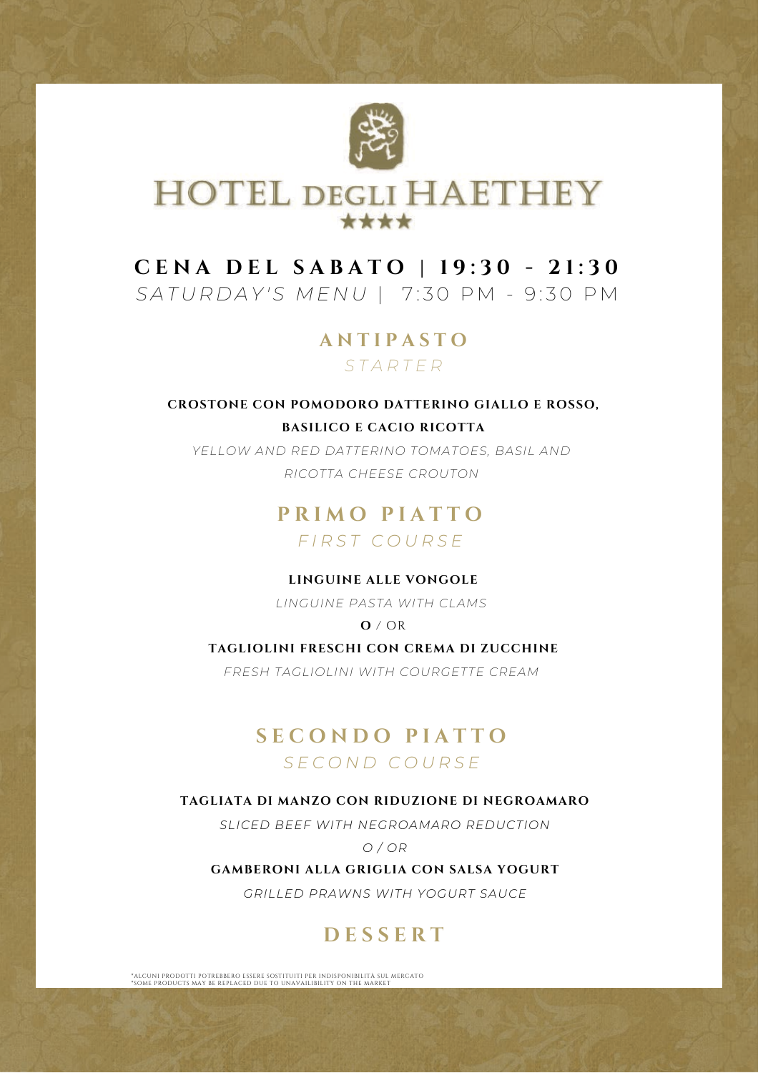

### **C E N A D E L S A B A T O | 1 9 : 3 0 - 2 1 : 3 0** *S A T U R D A Y ' S M E N U* | 7 : 3 0 P M - 9 : 3 0 P M

### **A N T I P A S T O** *S T A R T E R*

**CROSTONE CON POMODORO DATTERINO GIALLO E ROSSO, BASILICO E CACIO RICOTTA**

*YELLOW AND RED DATTERINO TOMATOES, BASIL AND RICOTTA CHEESE CROUTON*

## **P R I M O P I A T T O** *F I R S T C O U R S E*

**LINGUINE ALLE VONGOLE**

*LINGUINE PASTA WITH CLAMS* 

**O** / OR

### **TAGLIOLINI FRESCHI CON CREMA DI ZUCCHINE**

*FRESH TAGLIOLINI WITH COURGETTE CREAM* 

## **S E C O N D O P I A T T O** *S E C O N D C O U R S E*

**TAGLIATA DI MANZO CON RIDUZIONE DI NEGROAMARO**

*SLICED BEEF WITH NEGROAMARO REDUCTION O / OR*

**GAMBERONI ALLA GRIGLIA CON SALSA YOGURT**

*GRILLED PRAWNS WITH YOGURT SAUCE*

# **D E S S E R T**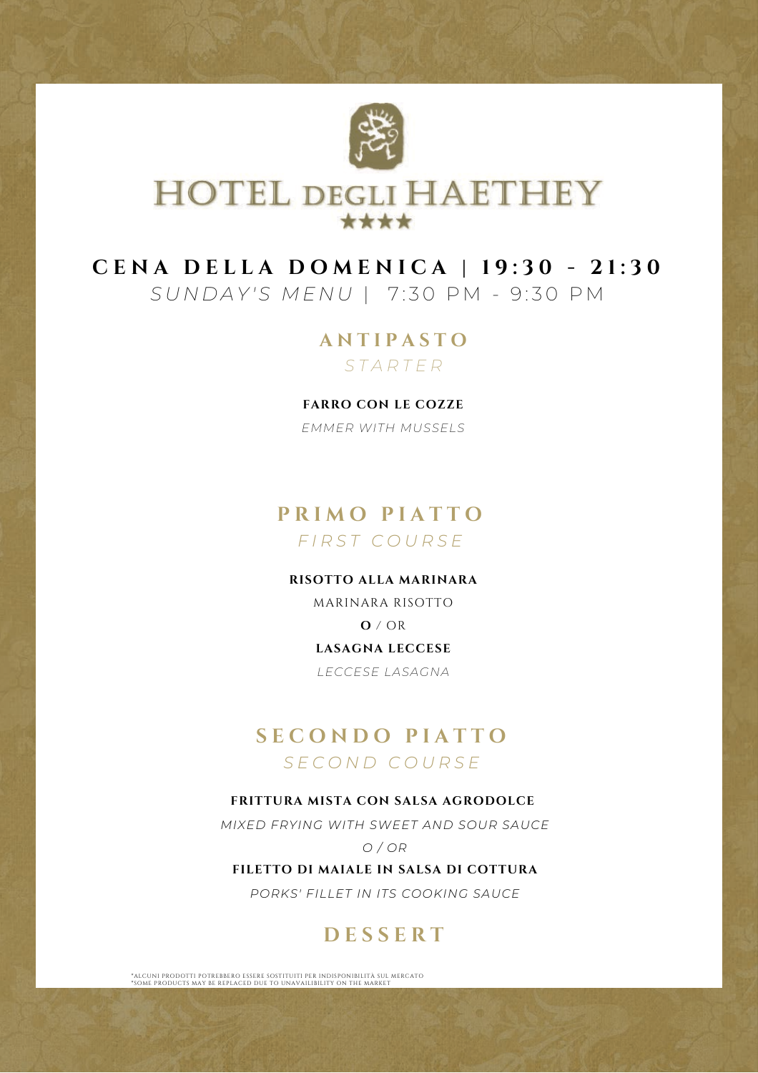

# **C E N A D E L L A D O M E N I C A | 1 9 : 3 0 - 2 1 : 3 0**

*S U N D A Y ' S M E N U* | 7 : 3 0 P M - 9 : 3 0 P M

### **A N T I P A S T O** *S T A R T E R*

#### **FARRO CON LE COZZE**

*EMMER WITH MUSSELS*

## **P R I M O P I A T T O** *F I R S T C O U R S E*

#### **RISOTTO ALLA MARINARA**

MARINARA RISOTTO **O** / OR **LASAGNA LECCESE** *LECCESE LASAGNA*

### **S E C O N D O P I A T T O** *S E C O N D C O U R S E*

#### **FRITTURA MISTA CON SALSA AGRODOLCE**

*MIXED FRYING WITH SWEET AND SOUR SAUCE O / OR*

**FILETTO DI MAIALE IN SALSA DI COTTURA** *PORKS' FILLET IN ITS COOKING SAUCE*

### **D E S S E R T**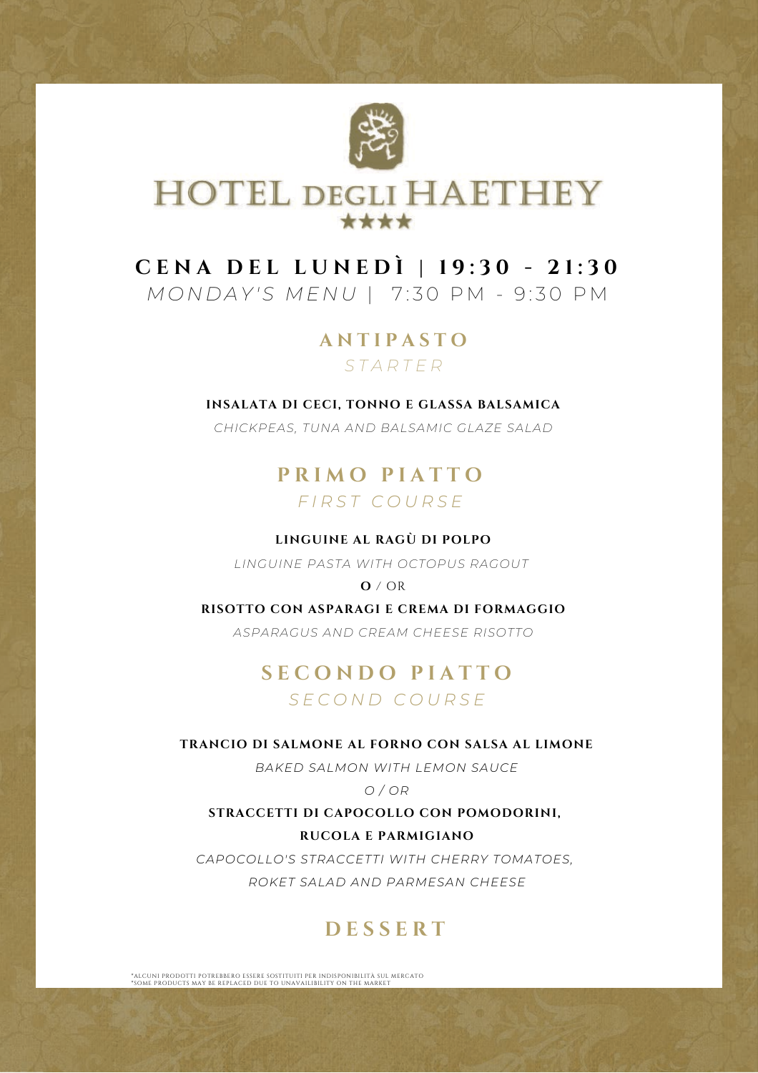

# **C E N A D E L L U N E D Ì | 1 9 : 3 0 - 2 1 : 3 0**

*M O N D A Y ' S M E N U* | 7 : 3 0 P M - 9 : 3 0 P M

### **A N T I P A S T O** *S T A R T E R*

**INSALATA DI CECI, TONNO E GLASSA BALSAMICA**

*CHICKPEAS, TUNA AND BALSAMIC GLAZE SALAD*

**P R I M O P I A T T O** *F I R S T C O U R S E*

### **LINGUINE AL RAGÙ DI POLPO**

*LINGUINE PASTA WITH OCTOPUS RAGOUT* 

#### **O** / OR

**RISOTTO CON ASPARAGI E CREMA DI FORMAGGIO**

*ASPARAGUS AND CREAM CHEESE RISOTTO*

### **S E C O N D O P I A T T O** *S E C O N D C O U R S E*

**TRANCIO DI SALMONE AL FORNO CON SALSA AL LIMONE**

*BAKED SALMON WITH LEMON SAUCE*

*O / OR*

**STRACCETTI DI CAPOCOLLO CON POMODORINI, RUCOLA E PARMIGIANO**

*CAPOCOLLO'S STRACCETTI WITH CHERRY TOMATOES, ROKET SALAD AND PARMESAN CHEESE*

### **D E S S E R T**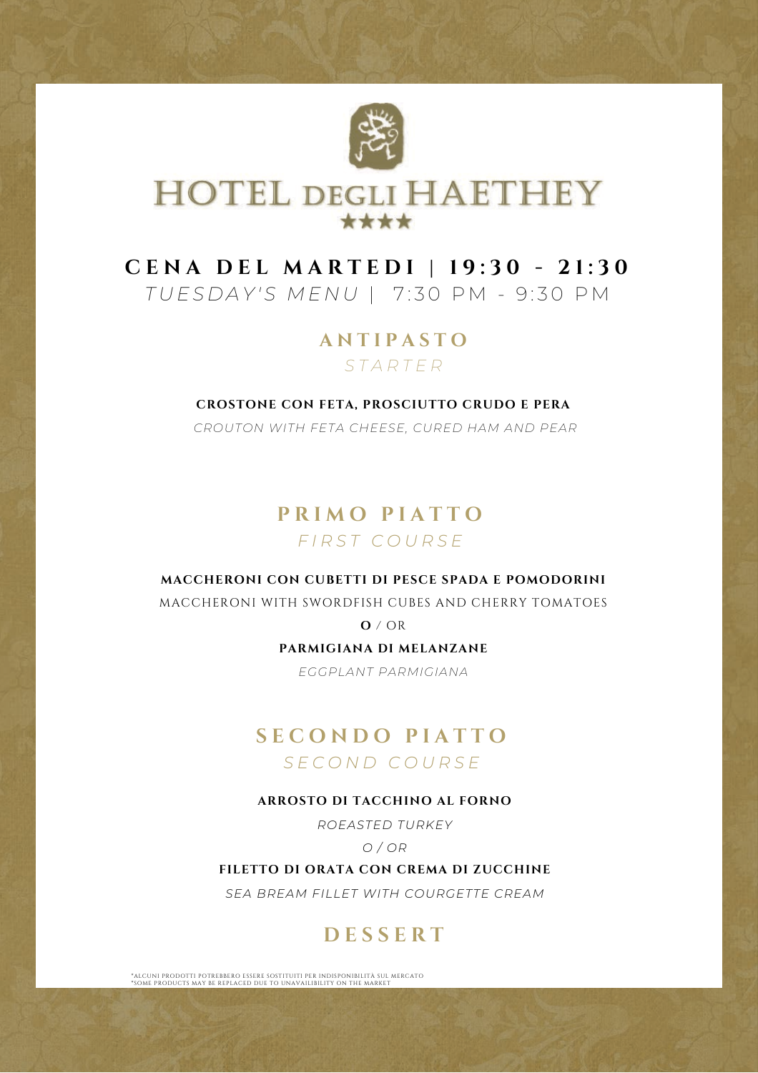

# **C E N A D E L M A R T E D I | 1 9 : 3 0 - 2 1 : 3 0**

*T U E S D A Y ' S M E N U* | 7 : 3 0 P M - 9 : 3 0 P M

### **A N T I P A S T O** *S T A R T E R*

#### **CROSTONE CON FETA, PROSCIUTTO CRUDO E PERA**

 *CROUTON WITH FETA CHEESE, CURED HAM AND PEAR*

## **P R I M O P I A T T O** *F I R S T C O U R S E*

#### **MACCHERONI CON CUBETTI DI PESCE SPADA E POMODORINI**

MACCHERONI WITH SWORDFISH CUBES AND CHERRY TOMATOES

**O** / OR

#### **PARMIGIANA DI MELANZANE**

*EGGPLANT PARMIGIANA*

## **S E C O N D O P I A T T O** *S E C O N D C O U R S E*

#### **ARROSTO DI TACCHINO AL FORNO**

*ROEASTED TURKEY O / OR*

#### **FILETTO DI ORATA CON CREMA DI ZUCCHINE**

*SEA BREAM FILLET WITH COURGETTE CREAM*

### **D E S S E R T**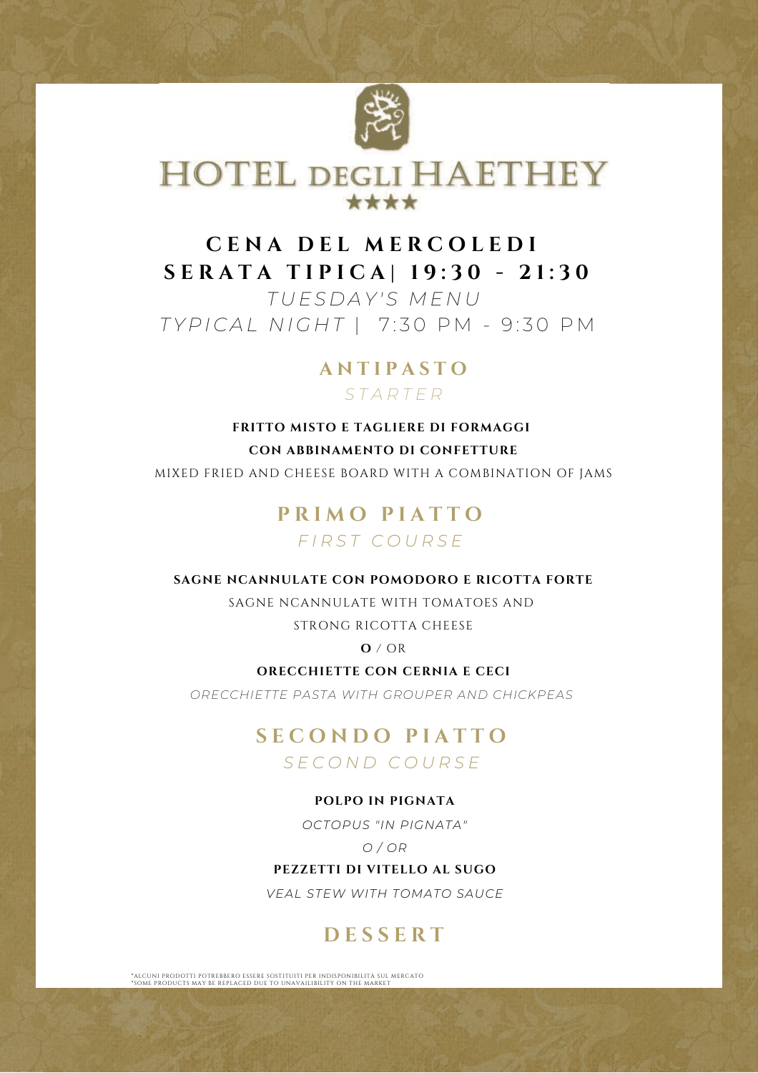

# **C E N A D E L M E R C O L E D I SERATA TIPICA | 19:30 - 21:30**

*T U E S D A Y ' S M E N U T Y P I C A L N I G H T* | 7 : 3 0 P M - 9 : 3 0 P M

### **A N T I P A S T O** *S T A R T E R*

**FRITTO MISTO E TAGLIERE DI FORMAGGI CON ABBINAMENTO DI CONFETTURE**

MIXED FRIED AND CHEESE BOARD WITH A COMBINATION OF JAMS

### **P R I M O P I A T T O** *F I R S T C O U R S E*

#### **SAGNE NCANNULATE CON POMODORO E RICOTTA FORTE**

SAGNE NCANNULATE WITH TOMATOES AND

STRONG RICOTTA CHEESE

**O** / OR

#### **ORECCHIETTE CON CERNIA E CECI**

*ORECCHIETTE PASTA WITH GROUPER AND CHICKPEAS* 

### **S E C O N D O P I A T T O** *S E C O N D C O U R S E*

#### **POLPO IN PIGNATA**

*OCTOPUS "IN PIGNATA" O / OR*

#### **PEZZETTI DI VITELLO AL SUGO**

*VEAL STEW WITH TOMATO SAUCE*

### **D E S S E R T**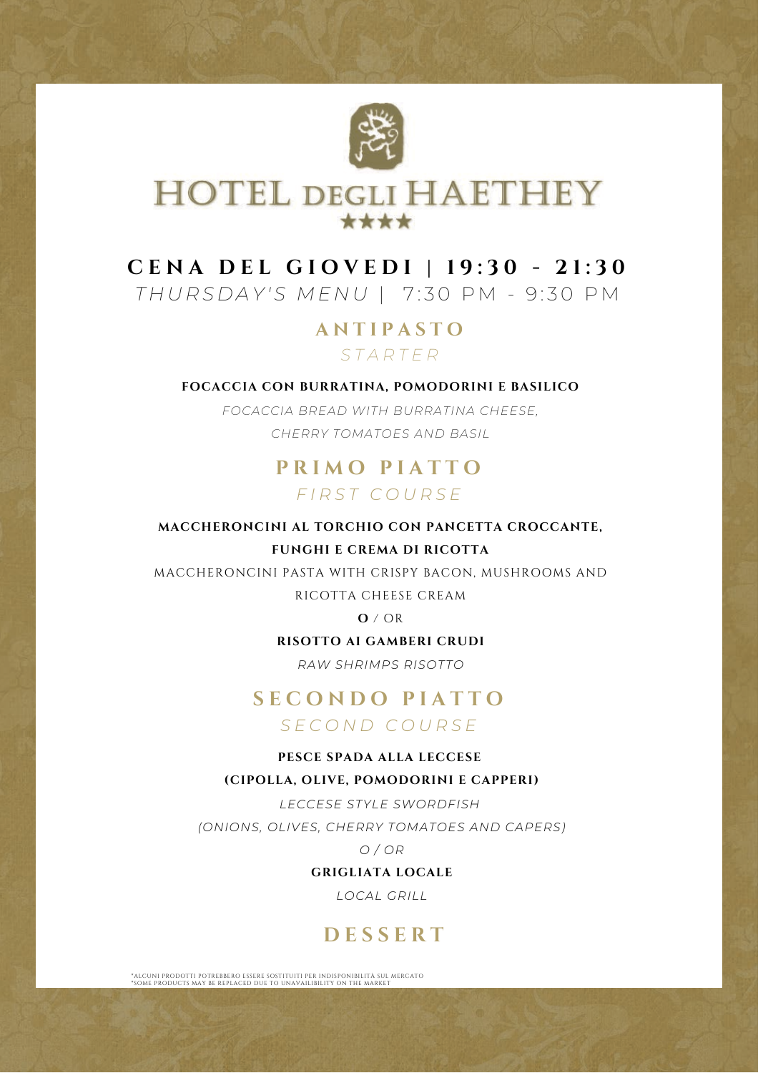

## **C E N A D E L G I O V E D I | 1 9 : 3 0 - 2 1 : 3 0**

*T H U R S D A Y ' S M E N U* | 7 : 3 0 P M - 9 : 3 0 P M

### **A N T I P A S T O** *S T A R T E R*

**FOCACCIA CON BURRATINA, POMODORINI E BASILICO**

 *FOCACCIA BREAD WITH BURRATINA CHEESE, CHERRY TOMATOES AND BASIL*

## **P R I M O P I A T T O** *F I R S T C O U R S E*

### **MACCHERONCINI AL TORCHIO CON PANCETTA CROCCANTE, FUNGHI E CREMA DI RICOTTA**

MACCHERONCINI PASTA WITH CRISPY BACON, MUSHROOMS AND

RICOTTA CHEESE CREAM

**O** / OR

#### **RISOTTO AI GAMBERI CRUDI**

*RAW SHRIMPS RISOTTO*

### **S E C O N D O P I A T T O** *S E C O N D C O U R S E*

#### **PESCE SPADA ALLA LECCESE**

#### **(CIPOLLA, OLIVE, POMODORINI E CAPPERI)**

*LECCESE STYLE SWORDFISH (ONIONS, OLIVES, CHERRY TOMATOES AND CAPERS)*

*O / OR*

#### **GRIGLIATA LOCALE**

*LOCAL GRILL*

### **D E S S E R T**